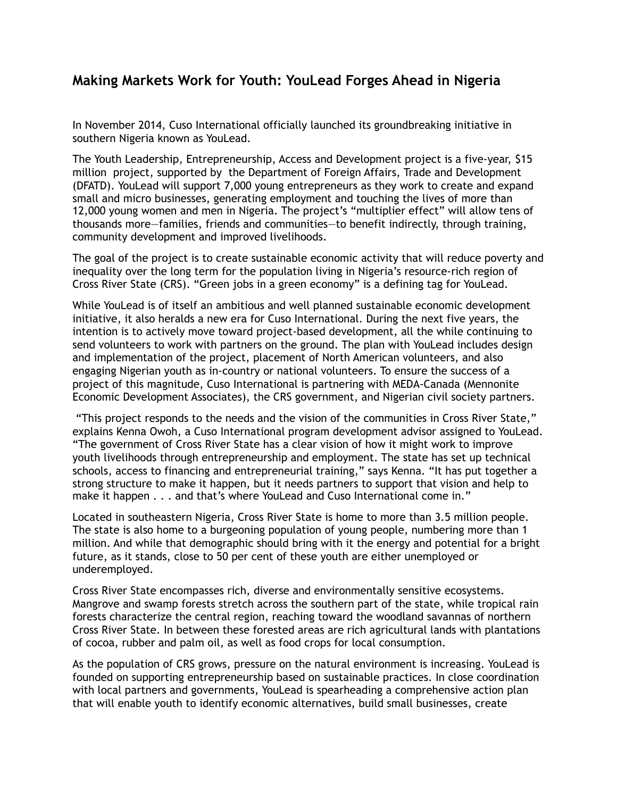## **Making Markets Work for Youth: YouLead Forges Ahead in Nigeria**

In November 2014, Cuso International officially launched its groundbreaking initiative in southern Nigeria known as YouLead.

The Youth Leadership, Entrepreneurship, Access and Development project is a five-year, \$15 million project, supported by the Department of Foreign Affairs, Trade and Development (DFATD). YouLead will support 7,000 young entrepreneurs as they work to create and expand small and micro businesses, generating employment and touching the lives of more than 12,000 young women and men in Nigeria. The project's "multiplier effect" will allow tens of thousands more—families, friends and communities—to benefit indirectly, through training, community development and improved livelihoods.

The goal of the project is to create sustainable economic activity that will reduce poverty and inequality over the long term for the population living in Nigeria's resource-rich region of Cross River State (CRS). "Green jobs in a green economy" is a defining tag for YouLead.

While YouLead is of itself an ambitious and well planned sustainable economic development initiative, it also heralds a new era for Cuso International. During the next five years, the intention is to actively move toward project-based development, all the while continuing to send volunteers to work with partners on the ground. The plan with YouLead includes design and implementation of the project, placement of North American volunteers, and also engaging Nigerian youth as in-country or national volunteers. To ensure the success of a project of this magnitude, Cuso International is partnering with MEDA-Canada (Mennonite Economic Development Associates), the CRS government, and Nigerian civil society partners.

 "This project responds to the needs and the vision of the communities in Cross River State," explains Kenna Owoh, a Cuso International program development advisor assigned to YouLead. "The government of Cross River State has a clear vision of how it might work to improve youth livelihoods through entrepreneurship and employment. The state has set up technical schools, access to financing and entrepreneurial training," says Kenna. "It has put together a strong structure to make it happen, but it needs partners to support that vision and help to make it happen . . . and that's where YouLead and Cuso International come in."

Located in southeastern Nigeria, Cross River State is home to more than 3.5 million people. The state is also home to a burgeoning population of young people, numbering more than 1 million. And while that demographic should bring with it the energy and potential for a bright future, as it stands, close to 50 per cent of these youth are either unemployed or underemployed.

Cross River State encompasses rich, diverse and environmentally sensitive ecosystems. Mangrove and swamp forests stretch across the southern part of the state, while tropical rain forests characterize the central region, reaching toward the woodland savannas of northern Cross River State. In between these forested areas are rich agricultural lands with plantations of cocoa, rubber and palm oil, as well as food crops for local consumption.

As the population of CRS grows, pressure on the natural environment is increasing. YouLead is founded on supporting entrepreneurship based on sustainable practices. In close coordination with local partners and governments, YouLead is spearheading a comprehensive action plan that will enable youth to identify economic alternatives, build small businesses, create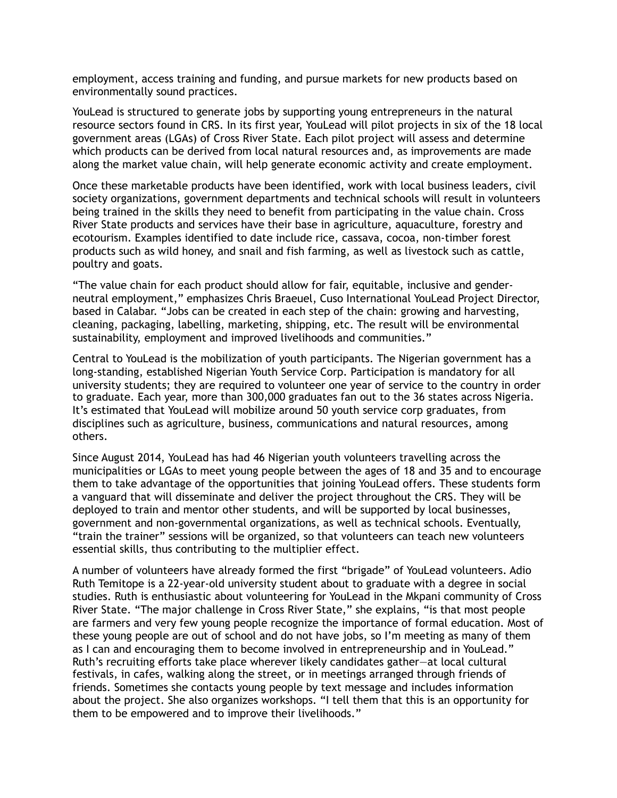employment, access training and funding, and pursue markets for new products based on environmentally sound practices.

YouLead is structured to generate jobs by supporting young entrepreneurs in the natural resource sectors found in CRS. In its first year, YouLead will pilot projects in six of the 18 local government areas (LGAs) of Cross River State. Each pilot project will assess and determine which products can be derived from local natural resources and, as improvements are made along the market value chain, will help generate economic activity and create employment.

Once these marketable products have been identified, work with local business leaders, civil society organizations, government departments and technical schools will result in volunteers being trained in the skills they need to benefit from participating in the value chain. Cross River State products and services have their base in agriculture, aquaculture, forestry and ecotourism. Examples identified to date include rice, cassava, cocoa, non-timber forest products such as wild honey, and snail and fish farming, as well as livestock such as cattle, poultry and goats.

"The value chain for each product should allow for fair, equitable, inclusive and genderneutral employment," emphasizes Chris Braeuel, Cuso International YouLead Project Director, based in Calabar. "Jobs can be created in each step of the chain: growing and harvesting, cleaning, packaging, labelling, marketing, shipping, etc. The result will be environmental sustainability, employment and improved livelihoods and communities."

Central to YouLead is the mobilization of youth participants. The Nigerian government has a long-standing, established Nigerian Youth Service Corp. Participation is mandatory for all university students; they are required to volunteer one year of service to the country in order to graduate. Each year, more than 300,000 graduates fan out to the 36 states across Nigeria. It's estimated that YouLead will mobilize around 50 youth service corp graduates, from disciplines such as agriculture, business, communications and natural resources, among others.

Since August 2014, YouLead has had 46 Nigerian youth volunteers travelling across the municipalities or LGAs to meet young people between the ages of 18 and 35 and to encourage them to take advantage of the opportunities that joining YouLead offers. These students form a vanguard that will disseminate and deliver the project throughout the CRS. They will be deployed to train and mentor other students, and will be supported by local businesses, government and non-governmental organizations, as well as technical schools. Eventually, "train the trainer" sessions will be organized, so that volunteers can teach new volunteers essential skills, thus contributing to the multiplier effect.

A number of volunteers have already formed the first "brigade" of YouLead volunteers. Adio Ruth Temitope is a 22-year-old university student about to graduate with a degree in social studies. Ruth is enthusiastic about volunteering for YouLead in the Mkpani community of Cross River State. "The major challenge in Cross River State," she explains, "is that most people are farmers and very few young people recognize the importance of formal education. Most of these young people are out of school and do not have jobs, so I'm meeting as many of them as I can and encouraging them to become involved in entrepreneurship and in YouLead." Ruth's recruiting efforts take place wherever likely candidates gather—at local cultural festivals, in cafes, walking along the street, or in meetings arranged through friends of friends. Sometimes she contacts young people by text message and includes information about the project. She also organizes workshops. "I tell them that this is an opportunity for them to be empowered and to improve their livelihoods."